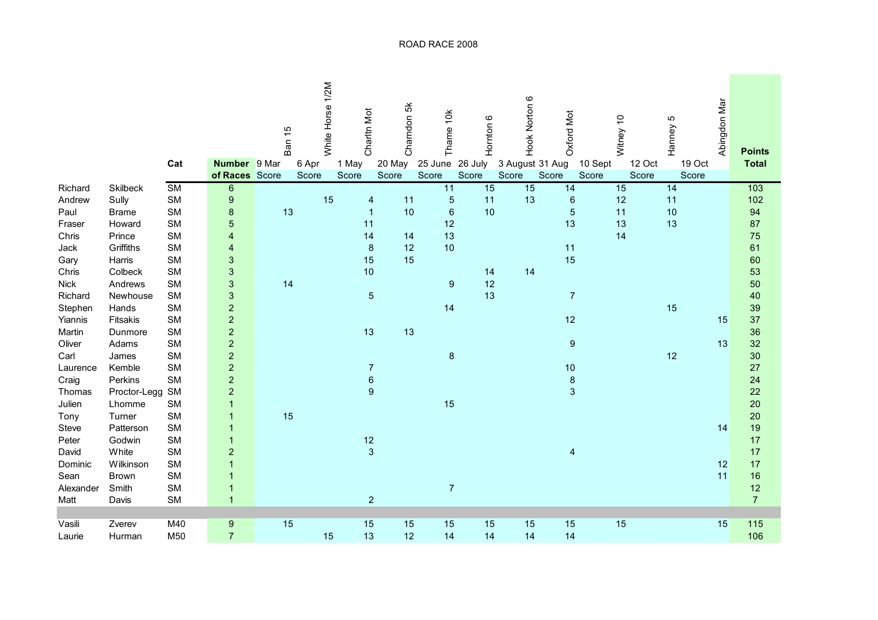|             |              |                        |                                       | Ban 15 | White Horse 1/2M | Charltn Mot                   | Charndon 5k     | Thame 10k        | Hornton 6        | Hook Norton 6            | Oxford Mot       |                  | Witney 10       | Ю<br>Hanney     | Abingdon Mar | <b>Points</b>  |
|-------------|--------------|------------------------|---------------------------------------|--------|------------------|-------------------------------|-----------------|------------------|------------------|--------------------------|------------------|------------------|-----------------|-----------------|--------------|----------------|
|             |              | Cat                    | <b>Number</b> 9 Mar<br>of Races Score |        | 6 Apr<br>Score   | 1 May<br>Score                | 20 May<br>Score | 25 June<br>Score | 26 July<br>Score | 3 August 31 Aug<br>Score | Score            | 10 Sept<br>Score | 12 Oct<br>Score | 19 Oct<br>Score |              | <b>Total</b>   |
| Richard     | Skilbeck     | $\overline{\text{SM}}$ | $\overline{6}$                        |        |                  |                               |                 | 11               | 15               | 15                       | 14               |                  | 15              | 14              |              | 103            |
| Andrew      | Sully        | SM                     | $\boldsymbol{9}$                      |        |                  | 15<br>$\overline{\mathbf{4}}$ | 11              | 5                | 11               | 13                       | $6\phantom{1}6$  |                  | 12              | 11              |              | 102            |
| Paul        | <b>Brame</b> | <b>SM</b>              | 8                                     | 13     |                  | $\overline{1}$                | 10              | $6\phantom{1}6$  | 10               |                          | 5                |                  | 11              | 10              |              | 94             |
| Fraser      | Howard       | <b>SM</b>              | 5                                     |        |                  | 11                            |                 | 12               |                  |                          | 13               |                  | 13              | 13              |              | 87             |
| Chris       | Prince       | SM                     | $\overline{\mathbf{r}}$               |        |                  | 14                            | 14              | 13               |                  |                          |                  |                  | 14              |                 |              | 75             |
| Jack        | Griffiths    | SM                     | $\overline{\mathbf{r}}$               |        |                  | $\bf8$                        | 12              | 10               |                  |                          | 11               |                  |                 |                 |              | 61             |
| Gary        | Harris       | SM                     | 3                                     |        |                  | 15                            | 15              |                  |                  |                          | 15               |                  |                 |                 |              | 60             |
| Chris       | Colbeck      | SM                     | 3                                     |        |                  | 10                            |                 |                  | 14               | 14                       |                  |                  |                 |                 |              | 53             |
| <b>Nick</b> | Andrews      | <b>SM</b>              | 3                                     | 14     |                  |                               |                 | $\overline{9}$   | 12               |                          |                  |                  |                 |                 |              | 50             |
| Richard     | Newhouse     | SM                     | 3                                     |        |                  | $\sqrt{5}$                    |                 |                  | 13               |                          | $\overline{7}$   |                  |                 |                 |              | 40             |
| Stephen     | Hands        | SM                     | $\overline{c}$                        |        |                  |                               |                 | 14               |                  |                          |                  |                  |                 | 15              |              | 39             |
| Yiannis     | Fitsakis     | <b>SM</b>              | $\begin{array}{c} 2 \\ 2 \end{array}$ |        |                  |                               |                 |                  |                  |                          | 12               |                  |                 |                 | 15           | 37             |
| Martin      | Dunmore      | <b>SM</b>              |                                       |        |                  | 13                            | 13              |                  |                  |                          |                  |                  |                 |                 |              | 36             |
| Oliver      | Adams        | <b>SM</b>              | $\overline{a}$                        |        |                  |                               |                 |                  |                  |                          | $\boldsymbol{9}$ |                  |                 |                 | 13           | 32             |
| Carl        | James        | <b>SM</b>              | $\overline{a}$                        |        |                  |                               |                 | $\boldsymbol{8}$ |                  |                          |                  |                  |                 | 12              |              | 30             |
| Laurence    | Kemble       | <b>SM</b>              | $\overline{a}$                        |        |                  | $\overline{7}$                |                 |                  |                  |                          | 10               |                  |                 |                 |              | 27             |
| Craig       | Perkins      | <b>SM</b>              | $\overline{c}$                        |        |                  | $\boldsymbol{6}$              |                 |                  |                  |                          | $\bf 8$          |                  |                 |                 |              | 24             |
| Thomas      | Proctor-Legg | SM                     | $\overline{c}$                        |        |                  | $\boldsymbol{9}$              |                 |                  |                  |                          | $\mathbf{3}$     |                  |                 |                 |              | 22             |
| Julien      | Lhomme       | SM                     | $\overline{1}$                        |        |                  |                               |                 | 15               |                  |                          |                  |                  |                 |                 |              | 20             |
| Tony        | Turner       | <b>SM</b>              | $\mathbf{1}$                          | 15     |                  |                               |                 |                  |                  |                          |                  |                  |                 |                 |              | 20             |
| Steve       | Patterson    | SM                     | $\mathbf{1}$                          |        |                  |                               |                 |                  |                  |                          |                  |                  |                 |                 | 14           | 19             |
| Peter       | Godwin       | SM                     | $\overline{\mathbf{1}}$               |        |                  | 12                            |                 |                  |                  |                          |                  |                  |                 |                 |              | 17             |
| David       | White        | <b>SM</b>              | $\overline{c}$                        |        |                  | $\overline{3}$                |                 |                  |                  |                          | 4                |                  |                 |                 |              | 17             |
| Dominic     | Wilkinson    | <b>SM</b>              | $\overline{1}$                        |        |                  |                               |                 |                  |                  |                          |                  |                  |                 |                 | 12           | 17             |
| Sean        | <b>Brown</b> | SM                     | $\mathbf{1}$                          |        |                  |                               |                 |                  |                  |                          |                  |                  |                 |                 | 11           | 16             |
| Alexander   | Smith        | SM                     | $\mathbf{1}$                          |        |                  |                               |                 | $\overline{7}$   |                  |                          |                  |                  |                 |                 |              | 12             |
| Matt        | Davis        | <b>SM</b>              | $\overline{1}$                        |        |                  | $\boldsymbol{2}$              |                 |                  |                  |                          |                  |                  |                 |                 |              | $\overline{7}$ |
|             |              |                        |                                       |        |                  |                               |                 |                  |                  |                          |                  |                  |                 |                 |              |                |
| Vasili      | Zverev       | M40                    | 9                                     | 15     |                  | 15                            | 15              | 15               | 15               | 15                       | 15               |                  | 15              |                 | 15           | 115            |
| Laurie      | Hurman       | M50                    | $\overline{7}$                        |        |                  | 13<br>15                      | 12              | 14               | 14               | 14                       | 14               |                  |                 |                 |              | 106            |

## ROAD RACE 2008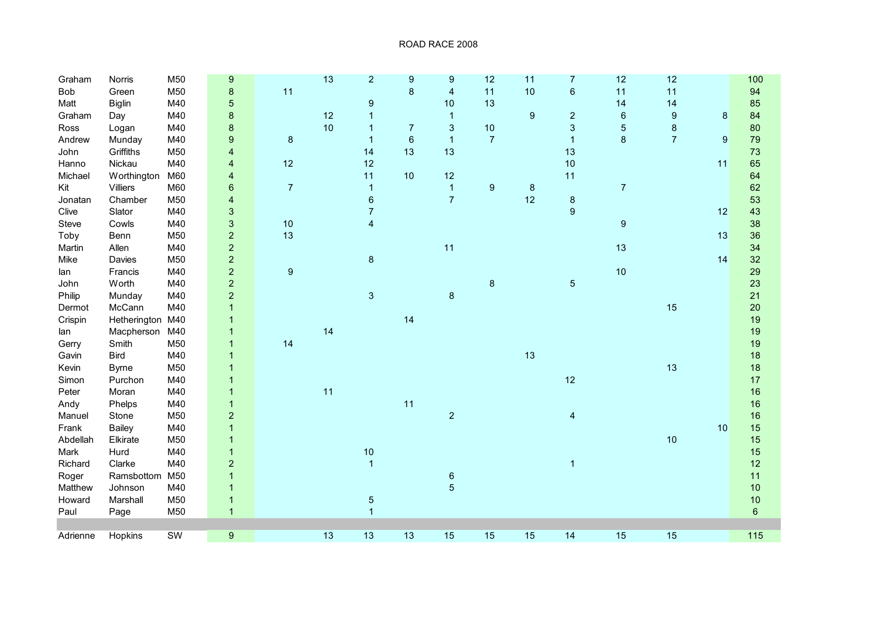| Graham   | Norris           | M50       | 9                         |                  | 13 | $\overline{c}$          | $\overline{9}$ | 9                       | 12             | 11               | 7                | 12               | 12               |         | 100            |
|----------|------------------|-----------|---------------------------|------------------|----|-------------------------|----------------|-------------------------|----------------|------------------|------------------|------------------|------------------|---------|----------------|
| Bob      | Green            | M50       | 8                         | 11               |    |                         | $\bf 8$        | $\overline{\mathbf{4}}$ | 11             | 10               | $\,6\,$          | 11               | 11               |         | 94             |
| Matt     | <b>Biglin</b>    | M40       | 5                         |                  |    | $\boldsymbol{9}$        |                | 10                      | 13             |                  |                  | 14               | 14               |         | 85             |
| Graham   | Day              | M40       | 8                         |                  | 12 | 1                       |                | $\mathbf 1$             |                | $\boldsymbol{9}$ | $\overline{c}$   | $\boldsymbol{6}$ | $\boldsymbol{9}$ | $\bf 8$ | 84             |
| Ross     | Logan            | M40       | 8                         |                  | 10 | 1                       | $\overline{7}$ | $\sqrt{3}$              | $10$           |                  | 3                | $\sqrt{5}$       | $\bf 8$          |         | 80             |
| Andrew   | Munday           | M40       | 9                         | $\bf 8$          |    | $\mathbf 1$             | $\,6\,$        | $\overline{1}$          | $\overline{7}$ |                  | $\mathbf{1}$     | $\bf 8$          | $\overline{7}$   | 9       | 79             |
| John     | Griffiths        | M50       | $\overline{\mathbf{4}}$   |                  |    | 14                      | 13             | 13                      |                |                  | 13               |                  |                  |         | 73             |
| Hanno    | Nickau           | M40       | $\overline{\mathbf{4}}$   | 12               |    | 12                      |                |                         |                |                  | 10               |                  |                  | 11      | 65             |
| Michael  | Worthington      | M60       | $\overline{\mathbf{4}}$   |                  |    | 11                      | 10             | 12                      |                |                  | 11               |                  |                  |         | 64             |
| Kit      | <b>Villiers</b>  | M60       | $\boldsymbol{6}$          | $\overline{7}$   |    | $\mathbf{1}$            |                | $\mathbf{1}$            | 9              | $\bf 8$          |                  | $\overline{7}$   |                  |         | 62             |
| Jonatan  | Chamber          | M50       | $\overline{\mathbf{4}}$   |                  |    | $\,6\,$                 |                | $\overline{7}$          |                | 12               | $\bf 8$          |                  |                  |         | 53             |
| Clive    | Slator           | M40       | $\ensuremath{\mathsf{3}}$ |                  |    | $\overline{7}$          |                |                         |                |                  | $\boldsymbol{9}$ |                  |                  | 12      | 43             |
| Steve    | Cowls            | M40       | 3                         | $10$             |    | $\overline{\mathbf{4}}$ |                |                         |                |                  |                  | $\overline{9}$   |                  |         | 38             |
| Toby     | Benn             | M50       | $\overline{a}$            | 13               |    |                         |                |                         |                |                  |                  |                  |                  | 13      | 36             |
| Martin   | Allen            | M40       | $\overline{a}$            |                  |    |                         |                | 11                      |                |                  |                  | 13               |                  |         | 34             |
| Mike     | Davies           | M50       | $\overline{c}$            |                  |    | $\bf 8$                 |                |                         |                |                  |                  |                  |                  | 14      | 32             |
| lan      | Francis          | M40       | $\overline{c}$            | $\boldsymbol{9}$ |    |                         |                |                         |                |                  |                  | 10               |                  |         | 29             |
| John     | Worth            | M40       | $\overline{\mathbf{c}}$   |                  |    |                         |                |                         | $\bf 8$        |                  | $\sqrt{5}$       |                  |                  |         | 23             |
| Philip   | Munday           | M40       | $\overline{c}$            |                  |    | 3                       |                | $\bf 8$                 |                |                  |                  |                  |                  |         | 21             |
| Dermot   | McCann           | M40       | $\mathbf{1}$              |                  |    |                         |                |                         |                |                  |                  |                  | 15               |         | 20             |
| Crispin  | Hetherington M40 |           | $\mathbf{1}$              |                  |    |                         | 14             |                         |                |                  |                  |                  |                  |         | 19             |
| lan      | Macpherson       | M40       | $\mathbf{1}$              |                  | 14 |                         |                |                         |                |                  |                  |                  |                  |         | 19             |
| Gerry    | Smith            | M50       | $\mathbf{1}$              | 14               |    |                         |                |                         |                |                  |                  |                  |                  |         | 19             |
| Gavin    | <b>Bird</b>      | M40       | $\mathbf{1}$              |                  |    |                         |                |                         |                | 13               |                  |                  |                  |         | 18             |
| Kevin    | <b>Byrne</b>     | M50       | $\overline{1}$            |                  |    |                         |                |                         |                |                  |                  |                  | 13               |         | 18             |
| Simon    | Purchon          | M40       | $\overline{1}$            |                  |    |                         |                |                         |                |                  | 12               |                  |                  |         | 17             |
| Peter    | Moran            | M40       | $\overline{1}$            |                  | 11 |                         |                |                         |                |                  |                  |                  |                  |         | 16             |
| Andy     | Phelps           | M40       | $\mathbf{1}$              |                  |    |                         | 11             |                         |                |                  |                  |                  |                  |         | 16             |
| Manuel   | Stone            | M50       | $\overline{c}$            |                  |    |                         |                | $\overline{2}$          |                |                  | 4                |                  |                  |         | 16             |
| Frank    | Bailey           | M40       | $\mathbf{1}$              |                  |    |                         |                |                         |                |                  |                  |                  |                  | 10      | 15             |
| Abdellah | Elkirate         | M50       | $\mathbf{1}$              |                  |    |                         |                |                         |                |                  |                  |                  | 10               |         | 15             |
| Mark     | Hurd             | M40       | $\mathbf{1}$              |                  |    | 10                      |                |                         |                |                  |                  |                  |                  |         | 15             |
| Richard  | Clarke           | M40       | $\overline{c}$            |                  |    | $\mathbf{1}$            |                |                         |                |                  | $\mathbf{1}$     |                  |                  |         | 12             |
| Roger    | Ramsbottom       | M50       | $\mathbf{1}$              |                  |    |                         |                | $\,6$                   |                |                  |                  |                  |                  |         | 11             |
| Matthew  | Johnson          | M40       | $\mathbf{1}$              |                  |    |                         |                | 5                       |                |                  |                  |                  |                  |         | 10             |
| Howard   | Marshall         | M50       | $\mathbf{1}$              |                  |    | $\sqrt{5}$              |                |                         |                |                  |                  |                  |                  |         | 10             |
| Paul     | Page             | M50       | $\mathbf{1}$              |                  |    | $\overline{1}$          |                |                         |                |                  |                  |                  |                  |         | $6\phantom{a}$ |
|          |                  |           |                           |                  |    |                         |                |                         |                |                  |                  |                  |                  |         |                |
| Adrienne | Hopkins          | <b>SW</b> | $\boldsymbol{9}$          |                  | 13 | 13                      | 13             | 15                      | 15             | 15               | 14               | 15               | 15               |         | $115$          |